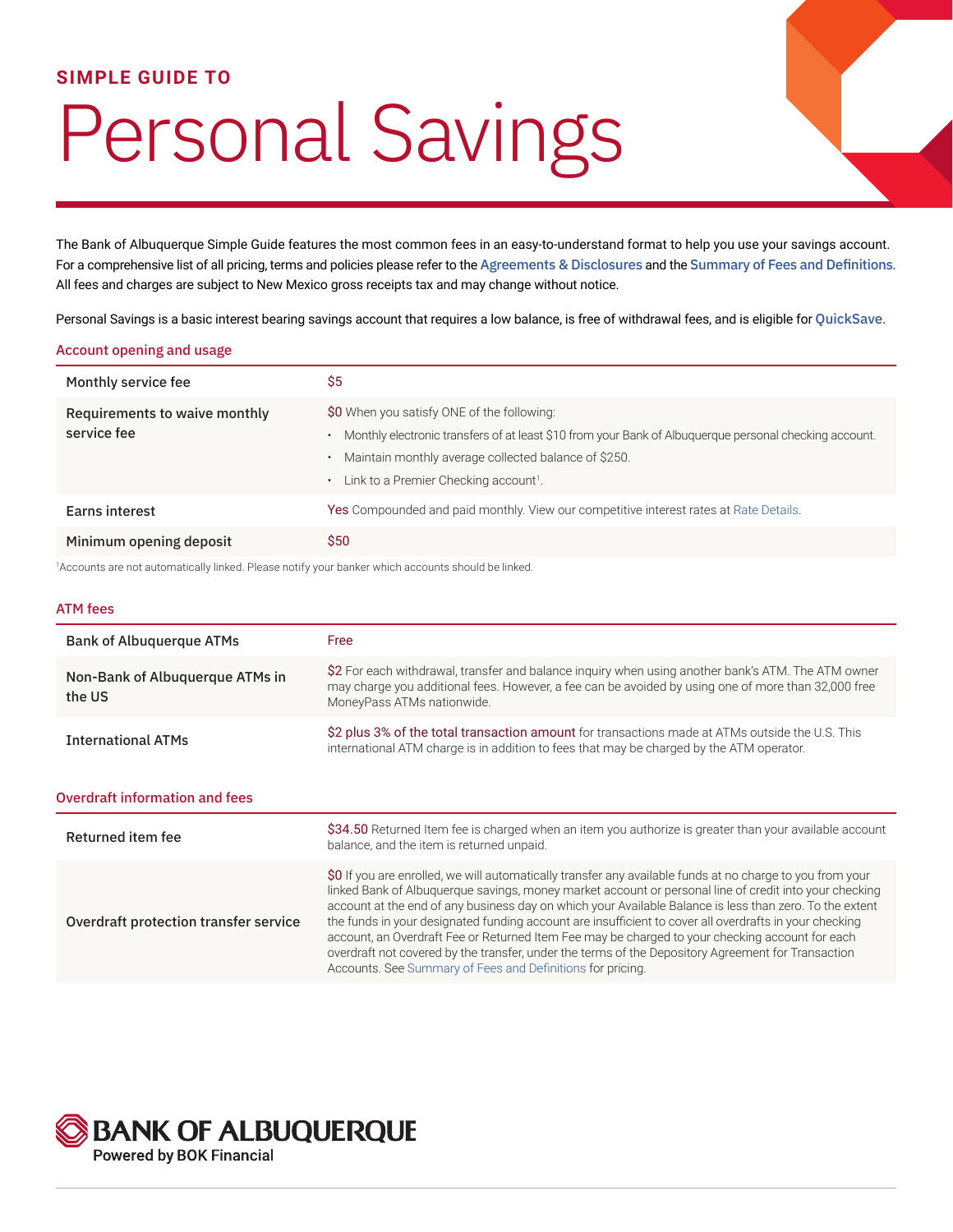### **SIMPLE GUIDE TO**

# Personal Savings

The Bank of Albuquerque Simple Guide features the most common fees in an easy-to-understand format to help you use your savings account. For a comprehensive list of all pricing, terms and policies please refer to the [Agreements & Disclosures](https://www.bankofalbuquerque.com/-/media/Files/PDF/BAQ/BAQ8029.ashx) and the [Summary of Fees and Definitions](https://www.bankofalbuquerque.com/-/media/Files/PDF/BAQ/BAQSummaryOfFeesAndDefinitions.ashx). All fees and charges are subject to New Mexico gross receipts tax and may change without notice.

Personal Savings is a basic interest bearing savings account that requires a low balance, is free of withdrawal fees, and is eligible for [QuickSave](https://www.bankofalbuquerque.com/personal/products-and-services/personal-banking/account-services/quicksave).

#### Account opening and usage

| Monthly service fee                          | \$5                                                                                                                                                                                                                                                               |
|----------------------------------------------|-------------------------------------------------------------------------------------------------------------------------------------------------------------------------------------------------------------------------------------------------------------------|
| Requirements to waive monthly<br>service fee | \$0 When you satisfy ONE of the following:<br>Monthly electronic transfers of at least \$10 from your Bank of Albuquerque personal checking account.<br>Maintain monthly average collected balance of \$250.<br>Link to a Premier Checking account <sup>1</sup> . |
| Earns interest                               | Yes Compounded and paid monthly. View our competitive interest rates at Rate Details.                                                                                                                                                                             |
| Minimum opening deposit                      | \$50                                                                                                                                                                                                                                                              |

1 Accounts are not automatically linked. Please notify your banker which accounts should be linked.

#### ATM fees

| <b>Bank of Albuquerque ATMs</b>           | Free                                                                                                                                                                                                                                                                                                                                                                                                                                                                                                                                                                                                                                                                                                            |  |  |  |
|-------------------------------------------|-----------------------------------------------------------------------------------------------------------------------------------------------------------------------------------------------------------------------------------------------------------------------------------------------------------------------------------------------------------------------------------------------------------------------------------------------------------------------------------------------------------------------------------------------------------------------------------------------------------------------------------------------------------------------------------------------------------------|--|--|--|
| Non-Bank of Albuquerque ATMs in<br>the US | \$2 For each withdrawal, transfer and balance inquiry when using another bank's ATM. The ATM owner<br>may charge you additional fees. However, a fee can be avoided by using one of more than 32,000 free<br>MoneyPass ATMs nationwide.                                                                                                                                                                                                                                                                                                                                                                                                                                                                         |  |  |  |
| <b>International ATMs</b>                 | \$2 plus 3% of the total transaction amount for transactions made at ATMs outside the U.S. This<br>international ATM charge is in addition to fees that may be charged by the ATM operator.                                                                                                                                                                                                                                                                                                                                                                                                                                                                                                                     |  |  |  |
| <b>Overdraft information and fees</b>     |                                                                                                                                                                                                                                                                                                                                                                                                                                                                                                                                                                                                                                                                                                                 |  |  |  |
| Returned item fee                         | \$34.50 Returned Item fee is charged when an item you authorize is greater than your available account<br>balance, and the item is returned unpaid.                                                                                                                                                                                                                                                                                                                                                                                                                                                                                                                                                             |  |  |  |
| Overdraft protection transfer service     | \$0 If you are enrolled, we will automatically transfer any available funds at no charge to you from your<br>linked Bank of Albuquerque savings, money market account or personal line of credit into your checking<br>account at the end of any business day on which your Available Balance is less than zero. To the extent<br>the funds in your designated funding account are insufficient to cover all overdrafts in your checking<br>account, an Overdraft Fee or Returned Item Fee may be charged to your checking account for each<br>overdraft not covered by the transfer, under the terms of the Depository Agreement for Transaction<br>Accounts. See Summary of Fees and Definitions for pricing. |  |  |  |